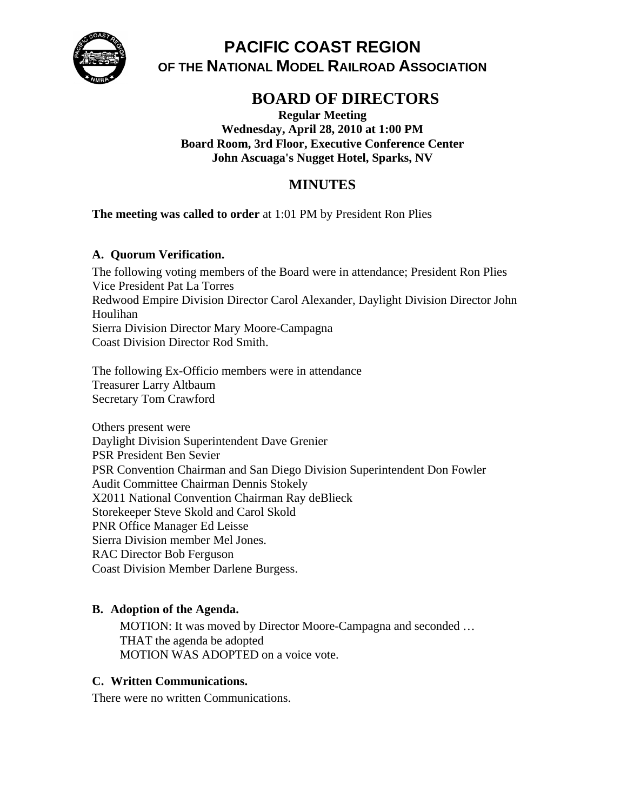

# **PACIFIC COAST REGION OF THE NATIONAL MODEL RAILROAD ASSOCIATION**

# **BOARD OF DIRECTORS**

**Regular Meeting Wednesday, April 28, 2010 at 1:00 PM Board Room, 3rd Floor, Executive Conference Center John Ascuaga's Nugget Hotel, Sparks, NV** 

# **MINUTES**

### **The meeting was called to order** at 1:01 PM by President Ron Plies

#### **A. Quorum Verification.**

The following voting members of the Board were in attendance; President Ron Plies Vice President Pat La Torres Redwood Empire Division Director Carol Alexander, Daylight Division Director John Houlihan Sierra Division Director Mary Moore-Campagna Coast Division Director Rod Smith.

The following Ex-Officio members were in attendance Treasurer Larry Altbaum Secretary Tom Crawford

Others present were Daylight Division Superintendent Dave Grenier PSR President Ben Sevier PSR Convention Chairman and San Diego Division Superintendent Don Fowler Audit Committee Chairman Dennis Stokely X2011 National Convention Chairman Ray deBlieck Storekeeper Steve Skold and Carol Skold PNR Office Manager Ed Leisse Sierra Division member Mel Jones. RAC Director Bob Ferguson Coast Division Member Darlene Burgess.

#### **B. Adoption of the Agenda.**

MOTION: It was moved by Director Moore-Campagna and seconded … THAT the agenda be adopted MOTION WAS ADOPTED on a voice vote.

#### **C. Written Communications.**

There were no written Communications.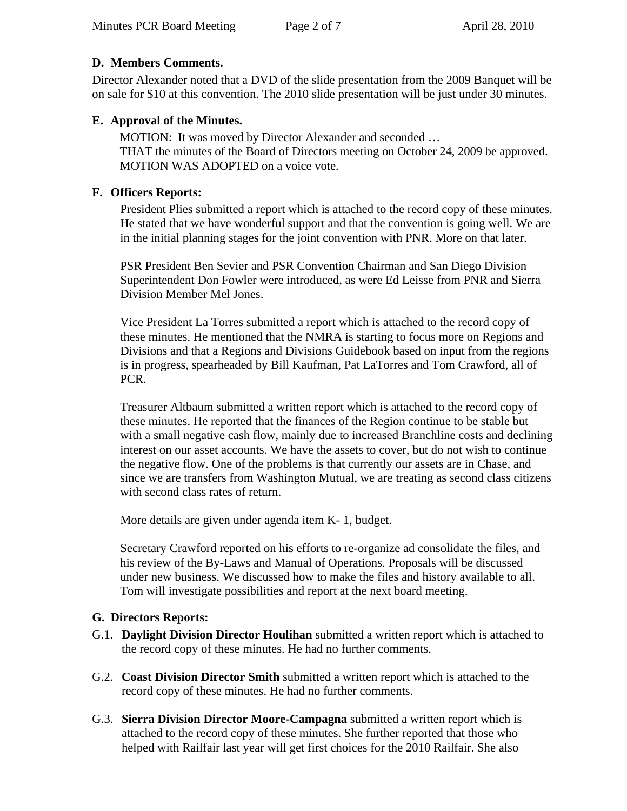## **D. Members Comments.**

Director Alexander noted that a DVD of the slide presentation from the 2009 Banquet will be on sale for \$10 at this convention. The 2010 slide presentation will be just under 30 minutes.

## **E. Approval of the Minutes.**

MOTION: It was moved by Director Alexander and seconded … THAT the minutes of the Board of Directors meeting on October 24, 2009 be approved. MOTION WAS ADOPTED on a voice vote.

## **F. Officers Reports:**

President Plies submitted a report which is attached to the record copy of these minutes. He stated that we have wonderful support and that the convention is going well. We are in the initial planning stages for the joint convention with PNR. More on that later.

PSR President Ben Sevier and PSR Convention Chairman and San Diego Division Superintendent Don Fowler were introduced, as were Ed Leisse from PNR and Sierra Division Member Mel Jones.

Vice President La Torres submitted a report which is attached to the record copy of these minutes. He mentioned that the NMRA is starting to focus more on Regions and Divisions and that a Regions and Divisions Guidebook based on input from the regions is in progress, spearheaded by Bill Kaufman, Pat LaTorres and Tom Crawford, all of PCR.

Treasurer Altbaum submitted a written report which is attached to the record copy of these minutes. He reported that the finances of the Region continue to be stable but with a small negative cash flow, mainly due to increased Branchline costs and declining interest on our asset accounts. We have the assets to cover, but do not wish to continue the negative flow. One of the problems is that currently our assets are in Chase, and since we are transfers from Washington Mutual, we are treating as second class citizens with second class rates of return.

More details are given under agenda item K- 1, budget.

Secretary Crawford reported on his efforts to re-organize ad consolidate the files, and his review of the By-Laws and Manual of Operations. Proposals will be discussed under new business. We discussed how to make the files and history available to all. Tom will investigate possibilities and report at the next board meeting.

#### **G. Directors Reports:**

- G.1. **Daylight Division Director Houlihan** submitted a written report which is attached to the record copy of these minutes. He had no further comments.
- G.2. **Coast Division Director Smith** submitted a written report which is attached to the record copy of these minutes. He had no further comments.
- G.3. **Sierra Division Director Moore-Campagna** submitted a written report which is attached to the record copy of these minutes. She further reported that those who helped with Railfair last year will get first choices for the 2010 Railfair. She also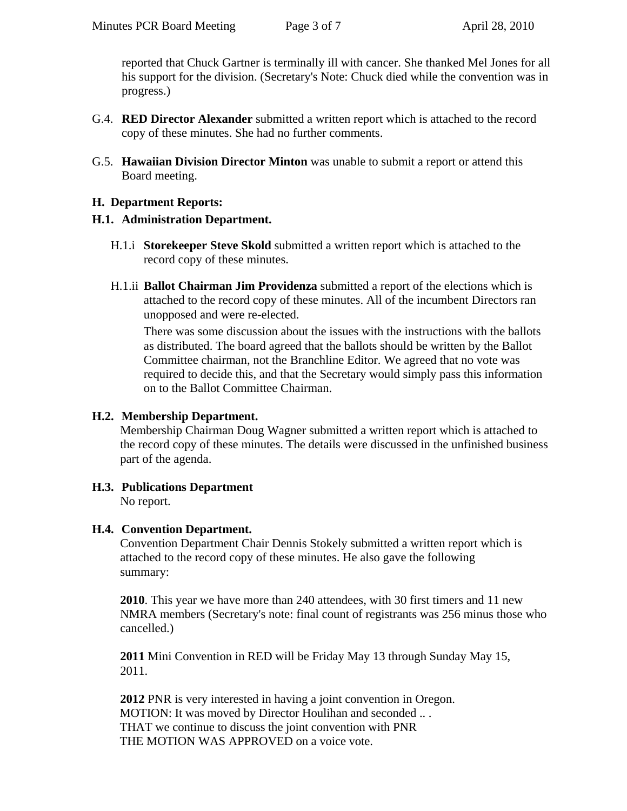reported that Chuck Gartner is terminally ill with cancer. She thanked Mel Jones for all his support for the division. (Secretary's Note: Chuck died while the convention was in progress.)

- G.4. **RED Director Alexander** submitted a written report which is attached to the record copy of these minutes. She had no further comments.
- G.5. **Hawaiian Division Director Minton** was unable to submit a report or attend this Board meeting.

#### **H. Department Reports:**

#### **H.1. Administration Department.**

- H.1.i **Storekeeper Steve Skold** submitted a written report which is attached to the record copy of these minutes.
- H.1.ii **Ballot Chairman Jim Providenza** submitted a report of the elections which is attached to the record copy of these minutes. All of the incumbent Directors ran unopposed and were re-elected.

There was some discussion about the issues with the instructions with the ballots as distributed. The board agreed that the ballots should be written by the Ballot Committee chairman, not the Branchline Editor. We agreed that no vote was required to decide this, and that the Secretary would simply pass this information on to the Ballot Committee Chairman.

#### **H.2. Membership Department.**

Membership Chairman Doug Wagner submitted a written report which is attached to the record copy of these minutes. The details were discussed in the unfinished business part of the agenda.

**H.3. Publications Department**  No report.

#### **H.4. Convention Department.**

Convention Department Chair Dennis Stokely submitted a written report which is attached to the record copy of these minutes. He also gave the following summary:

**2010**. This year we have more than 240 attendees, with 30 first timers and 11 new NMRA members (Secretary's note: final count of registrants was 256 minus those who cancelled.)

**2011** Mini Convention in RED will be Friday May 13 through Sunday May 15, 2011.

**2012** PNR is very interested in having a joint convention in Oregon. MOTION: It was moved by Director Houlihan and seconded .. . THAT we continue to discuss the joint convention with PNR THE MOTION WAS APPROVED on a voice vote.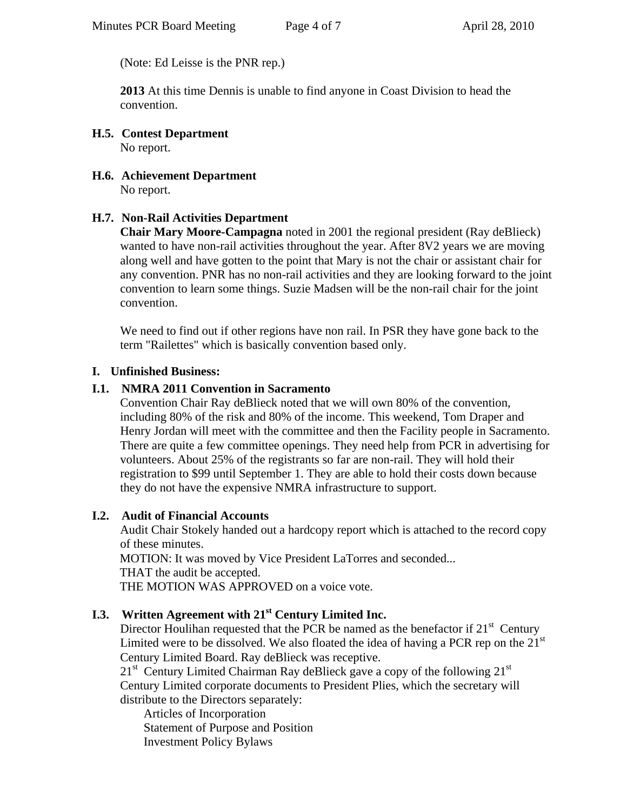(Note: Ed Leisse is the PNR rep.)

**2013** At this time Dennis is unable to find anyone in Coast Division to head the convention.

- **H.5. Contest Department**  No report.
- **H.6. Achievement Department**  No report.

### **H.7. Non-Rail Activities Department**

**Chair Mary Moore-Campagna** noted in 2001 the regional president (Ray deBlieck) wanted to have non-rail activities throughout the year. After 8V2 years we are moving along well and have gotten to the point that Mary is not the chair or assistant chair for any convention. PNR has no non-rail activities and they are looking forward to the joint convention to learn some things. Suzie Madsen will be the non-rail chair for the joint convention.

We need to find out if other regions have non rail. In PSR they have gone back to the term "Railettes" which is basically convention based only.

#### **I. Unfinished Business:**

#### **I.1. NMRA 2011 Convention in Sacramento**

Convention Chair Ray deBlieck noted that we will own 80% of the convention, including 80% of the risk and 80% of the income. This weekend, Tom Draper and Henry Jordan will meet with the committee and then the Facility people in Sacramento. There are quite a few committee openings. They need help from PCR in advertising for volunteers. About 25% of the registrants so far are non-rail. They will hold their registration to \$99 until September 1. They are able to hold their costs down because they do not have the expensive NMRA infrastructure to support.

#### **I.2. Audit of Financial Accounts**

Audit Chair Stokely handed out a hardcopy report which is attached to the record copy of these minutes.

MOTION: It was moved by Vice President LaTorres and seconded... THAT the audit be accepted.

THE MOTION WAS APPROVED on a voice vote.

# **I.3. Written Agreement with 21st Century Limited Inc.**

Director Houlihan requested that the PCR be named as the benefactor if  $21<sup>st</sup>$  Century Limited were to be dissolved. We also floated the idea of having a PCR rep on the  $21<sup>st</sup>$ Century Limited Board. Ray deBlieck was receptive.

 $21<sup>st</sup>$  Century Limited Chairman Ray deBlieck gave a copy of the following  $21<sup>st</sup>$ Century Limited corporate documents to President Plies, which the secretary will distribute to the Directors separately:

Articles of Incorporation Statement of Purpose and Position Investment Policy Bylaws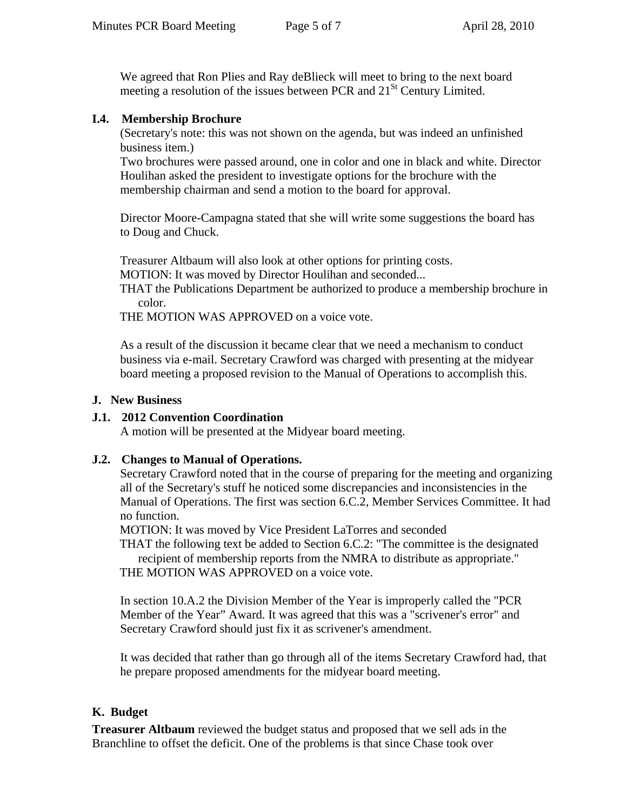We agreed that Ron Plies and Ray deBlieck will meet to bring to the next board meeting a resolution of the issues between PCR and  $21<sup>St</sup>$  Century Limited.

#### **I.4. Membership Brochure**

(Secretary's note: this was not shown on the agenda, but was indeed an unfinished business item.)

Two brochures were passed around, one in color and one in black and white. Director Houlihan asked the president to investigate options for the brochure with the membership chairman and send a motion to the board for approval.

Director Moore-Campagna stated that she will write some suggestions the board has to Doug and Chuck.

Treasurer Altbaum will also look at other options for printing costs.

MOTION: It was moved by Director Houlihan and seconded...

THAT the Publications Department be authorized to produce a membership brochure in color.

THE MOTION WAS APPROVED on a voice vote.

As a result of the discussion it became clear that we need a mechanism to conduct business via e-mail. Secretary Crawford was charged with presenting at the midyear board meeting a proposed revision to the Manual of Operations to accomplish this.

### **J. New Business**

## **J.1. 2012 Convention Coordination**

A motion will be presented at the Midyear board meeting.

## **J.2. Changes to Manual of Operations.**

Secretary Crawford noted that in the course of preparing for the meeting and organizing all of the Secretary's stuff he noticed some discrepancies and inconsistencies in the Manual of Operations. The first was section 6.C.2, Member Services Committee. It had no function.

MOTION: It was moved by Vice President LaTorres and seconded

THAT the following text be added to Section 6.C.2: "The committee is the designated recipient of membership reports from the NMRA to distribute as appropriate."

THE MOTION WAS APPROVED on a voice vote.

In section 10.A.2 the Division Member of the Year is improperly called the "PCR Member of the Year" Award. It was agreed that this was a "scrivener's error" and Secretary Crawford should just fix it as scrivener's [amendment.](http://www.businessdictionary.com/definition/amendment.html)

It was decided that rather than go through all of the items Secretary Crawford had, that he prepare proposed amendments for the midyear board meeting.

## **K. Budget**

**Treasurer Altbaum** reviewed the budget status and proposed that we sell ads in the Branchline to offset the deficit. One of the problems is that since Chase took over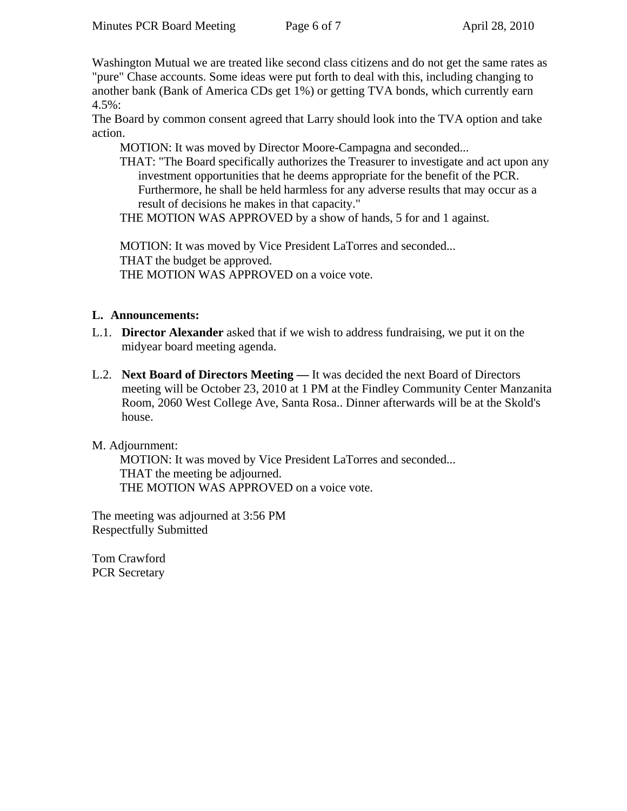Washington Mutual we are treated like second class citizens and do not get the same rates as "pure" Chase accounts. Some ideas were put forth to deal with this, including changing to another bank (Bank of America CDs get 1%) or getting TVA bonds, which currently earn 4.5%:

The Board by common consent agreed that Larry should look into the TVA option and take action.

MOTION: It was moved by Director Moore-Campagna and seconded...

THAT: "The Board specifically authorizes the Treasurer to investigate and act upon any investment opportunities that he deems appropriate for the benefit of the PCR. Furthermore, he shall be held harmless for any adverse results that may occur as a result of decisions he makes in that capacity."

THE MOTION WAS APPROVED by a show of hands, 5 for and 1 against.

MOTION: It was moved by Vice President LaTorres and seconded... THAT the budget be approved. THE MOTION WAS APPROVED on a voice vote.

#### **L. Announcements:**

- L.1. **Director Alexander** asked that if we wish to address fundraising, we put it on the midyear board meeting agenda.
- L.2. **Next Board of Directors Meeting** It was decided the next Board of Directors meeting will be October 23, 2010 at 1 PM at the Findley Community Center Manzanita Room, 2060 West College Ave, Santa Rosa.. Dinner afterwards will be at the Skold's house.

#### M. Adjournment:

MOTION: It was moved by Vice President LaTorres and seconded... THAT the meeting be adjourned. THE MOTION WAS APPROVED on a voice vote.

The meeting was adjourned at 3:56 PM Respectfully Submitted

Tom Crawford PCR Secretary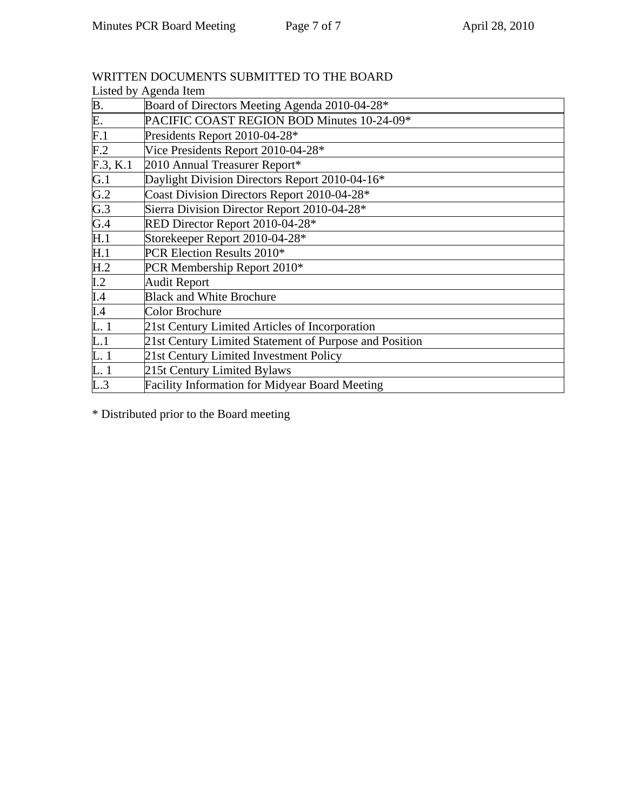| Listed by Agenda Item |                                                        |  |  |
|-----------------------|--------------------------------------------------------|--|--|
|                       | Board of Directors Meeting Agenda 2010-04-28*          |  |  |
| B.<br>E.<br>F.1       | PACIFIC COAST REGION BOD Minutes 10-24-09*             |  |  |
|                       | Presidents Report 2010-04-28*                          |  |  |
| F <sub>1</sub> 2      | Vice Presidents Report 2010-04-28*                     |  |  |
| F.3, K.1              | 2010 Annual Treasurer Report*                          |  |  |
| G.1                   | Daylight Division Directors Report 2010-04-16*         |  |  |
| $\frac{G.2}{G.3}$     | Coast Division Directors Report 2010-04-28*            |  |  |
|                       | Sierra Division Director Report 2010-04-28*            |  |  |
| $\overline{G.4}$      | RED Director Report 2010-04-28*                        |  |  |
| H.1                   | Storekeeper Report 2010-04-28*                         |  |  |
| $\overline{H.1}$      | PCR Election Results 2010*                             |  |  |
| H.2                   | PCR Membership Report 2010*                            |  |  |
|                       | <b>Audit Report</b>                                    |  |  |
| $\frac{I.2}{I.4}$     | <b>Black and White Brochure</b>                        |  |  |
| $\overline{I}$ .4     | Color Brochure                                         |  |  |
| $\overline{L}$ . 1    | 21st Century Limited Articles of Incorporation         |  |  |
| $\overline{L.1}$      | 21st Century Limited Statement of Purpose and Position |  |  |
|                       | 21st Century Limited Investment Policy                 |  |  |
| L. 1<br>L. 1          | 215t Century Limited Bylaws                            |  |  |
| $\overline{L.3}$      | <b>Facility Information for Midyear Board Meeting</b>  |  |  |

WRITTEN DOCUMENTS SUBMITTED TO THE BOARD

\* Distributed prior to the Board meeting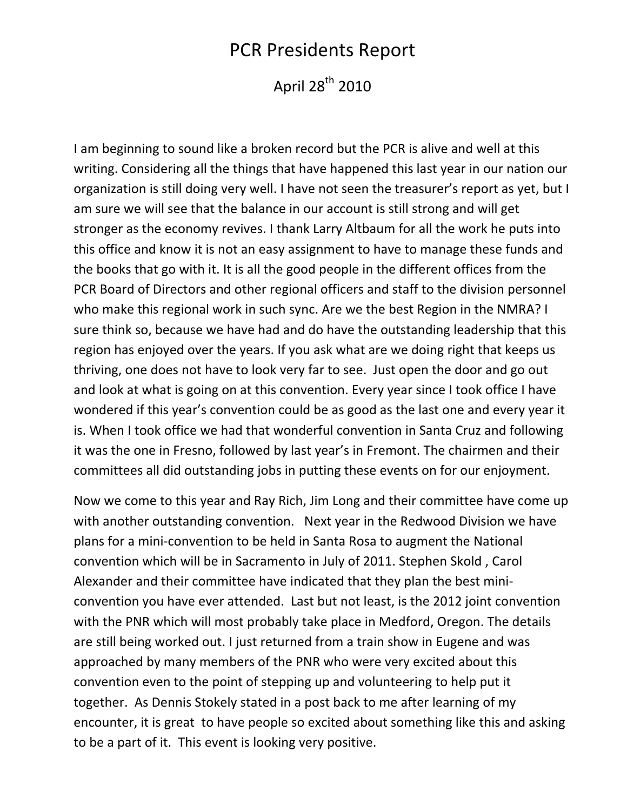# PCR Presidents Report

April 28<sup>th</sup> 2010

I am beginning to sound like a broken record but the PCR is alive and well at this writing. Considering all the things that have happened this last year in our nation our organization is still doing very well. I have not seen the treasurer's report as yet, but I am sure we will see that the balance in our account is still strong and will get stronger as the economy revives. I thank Larry Altbaum for all the work he puts into this office and know it is not an easy assignment to have to manage these funds and the books that go with it. It is all the good people in the different offices from the PCR Board of Directors and other regional officers and staff to the division personnel who make this regional work in such sync. Are we the best Region in the NMRA? I sure think so, because we have had and do have the outstanding leadership that this region has enjoyed over the years. If you ask what are we doing right that keeps us thriving, one does not have to look very far to see. Just open the door and go out and look at what is going on at this convention. Every year since I took office I have wondered if this year's convention could be as good as the last one and every year it is. When I took office we had that wonderful convention in Santa Cruz and following it was the one in Fresno, followed by last year's in Fremont. The chairmen and their committees all did outstanding jobs in putting these events on for our enjoyment.

Now we come to this year and Ray Rich, Jim Long and their committee have come up with another outstanding convention. Next year in the Redwood Division we have plans for a mini‐convention to be held in Santa Rosa to augment the National convention which will be in Sacramento in July of 2011. Stephen Skold , Carol Alexander and their committee have indicated that they plan the best mini‐ convention you have ever attended. Last but not least, is the 2012 joint convention with the PNR which will most probably take place in Medford, Oregon. The details are still being worked out. I just returned from a train show in Eugene and was approached by many members of the PNR who were very excited about this convention even to the point of stepping up and volunteering to help put it together. As Dennis Stokely stated in a post back to me after learning of my encounter, it is great to have people so excited about something like this and asking to be a part of it. This event is looking very positive.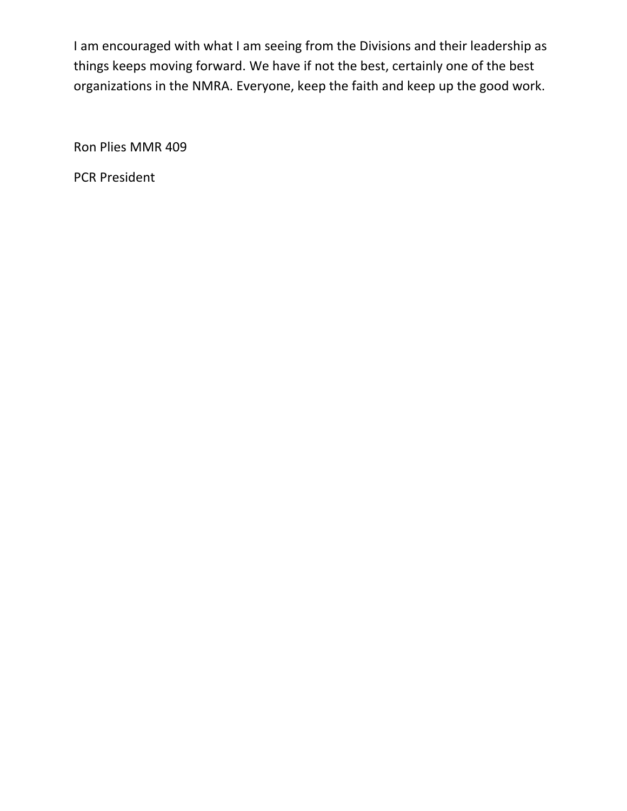I am encouraged with what I am seeing from the Divisions and their leadership as things keeps moving forward. We have if not the best, certainly one of the best organizations in the NMRA. Everyone, keep the faith and keep up the good work.

Ron Plies MMR 409

PCR President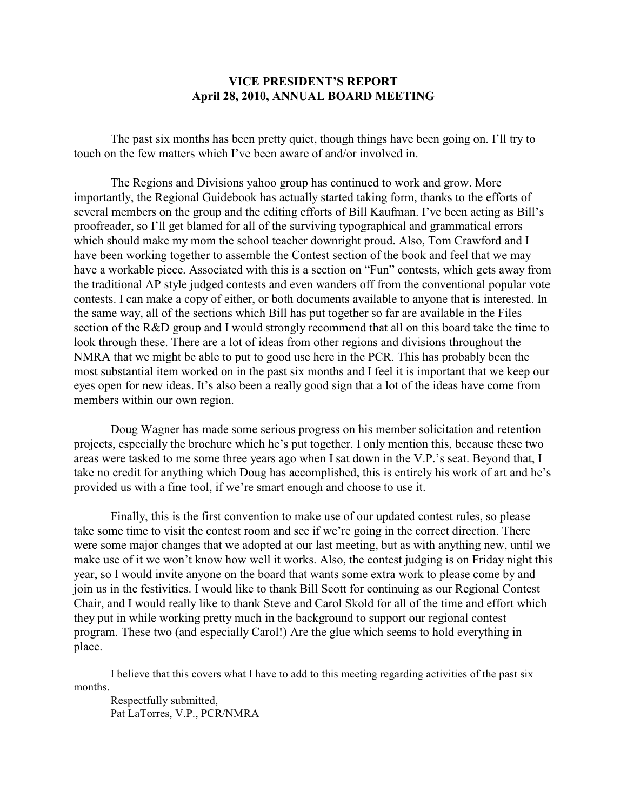#### **VICE PRESIDENT'S REPORT April 28, 2010, ANNUAL BOARD MEETING**

The past six months has been pretty quiet, though things have been going on. I'll try to touch on the few matters which I've been aware of and/or involved in.

The Regions and Divisions yahoo group has continued to work and grow. More importantly, the Regional Guidebook has actually started taking form, thanks to the efforts of several members on the group and the editing efforts of Bill Kaufman. I've been acting as Bill's proofreader, so I'll get blamed for all of the surviving typographical and grammatical errors – which should make my mom the school teacher downright proud. Also, Tom Crawford and I have been working together to assemble the Contest section of the book and feel that we may have a workable piece. Associated with this is a section on "Fun" contests, which gets away from the traditional AP style judged contests and even wanders off from the conventional popular vote contests. I can make a copy of either, or both documents available to anyone that is interested. In the same way, all of the sections which Bill has put together so far are available in the Files section of the R&D group and I would strongly recommend that all on this board take the time to look through these. There are a lot of ideas from other regions and divisions throughout the NMRA that we might be able to put to good use here in the PCR. This has probably been the most substantial item worked on in the past six months and I feel it is important that we keep our eyes open for new ideas. It's also been a really good sign that a lot of the ideas have come from members within our own region.

Doug Wagner has made some serious progress on his member solicitation and retention projects, especially the brochure which he's put together. I only mention this, because these two areas were tasked to me some three years ago when I sat down in the V.P.'s seat. Beyond that, I take no credit for anything which Doug has accomplished, this is entirely his work of art and he's provided us with a fine tool, if we're smart enough and choose to use it.

Finally, this is the first convention to make use of our updated contest rules, so please take some time to visit the contest room and see if we're going in the correct direction. There were some major changes that we adopted at our last meeting, but as with anything new, until we make use of it we won't know how well it works. Also, the contest judging is on Friday night this year, so I would invite anyone on the board that wants some extra work to please come by and join us in the festivities. I would like to thank Bill Scott for continuing as our Regional Contest Chair, and I would really like to thank Steve and Carol Skold for all of the time and effort which they put in while working pretty much in the background to support our regional contest program. These two (and especially Carol!) Are the glue which seems to hold everything in place.

I believe that this covers what I have to add to this meeting regarding activities of the past six months.

Respectfully submitted, Pat LaTorres, V.P., PCR/NMRA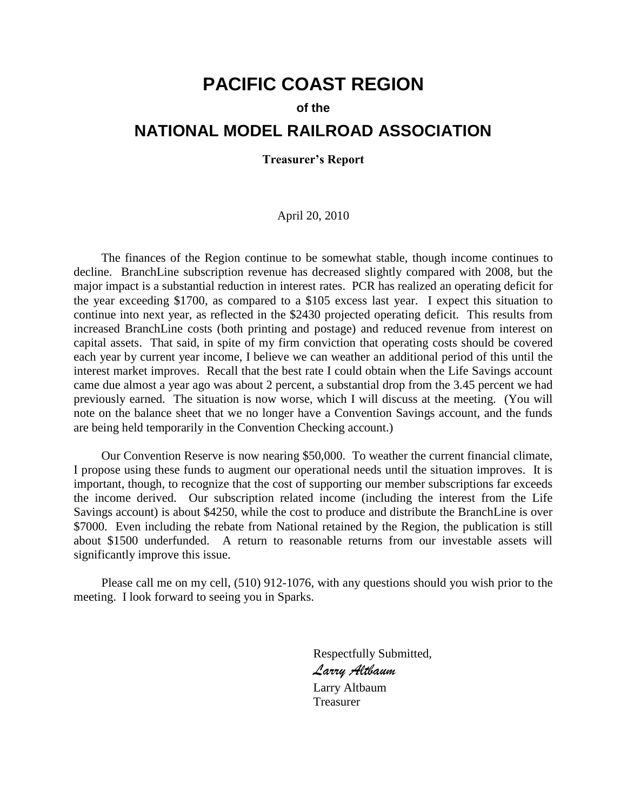# **PACIFIC COAST REGION**

#### **of the**

# **NATIONAL MODEL RAILROAD ASSOCIATION**

**Treasurer's Report**

#### April 20, 2010

The finances of the Region continue to be somewhat stable, though income continues to decline. BranchLine subscription revenue has decreased slightly compared with 2008, but the major impact is a substantial reduction in interest rates. PCR has realized an operating deficit for the year exceeding \$1700, as compared to a \$105 excess last year. I expect this situation to continue into next year, as reflected in the \$2430 projected operating deficit. This results from increased BranchLine costs (both printing and postage) and reduced revenue from interest on capital assets. That said, in spite of my firm conviction that operating costs should be covered each year by current year income, I believe we can weather an additional period of this until the interest market improves. Recall that the best rate I could obtain when the Life Savings account came due almost a year ago was about 2 percent, a substantial drop from the 3.45 percent we had previously earned. The situation is now worse, which I will discuss at the meeting. (You will note on the balance sheet that we no longer have a Convention Savings account, and the funds are being held temporarily in the Convention Checking account.)

Our Convention Reserve is now nearing \$50,000. To weather the current financial climate, I propose using these funds to augment our operational needs until the situation improves. It is important, though, to recognize that the cost of supporting our member subscriptions far exceeds the income derived. Our subscription related income (including the interest from the Life Savings account) is about \$4250, while the cost to produce and distribute the BranchLine is over \$7000. Even including the rebate from National retained by the Region, the publication is still about \$1500 underfunded. A return to reasonable returns from our investable assets will significantly improve this issue.

Please call me on my cell, (510) 912-1076, with any questions should you wish prior to the meeting. I look forward to seeing you in Sparks.

> Respectfully Submitted, *Larry Altbaum* Larry Altbaum Treasurer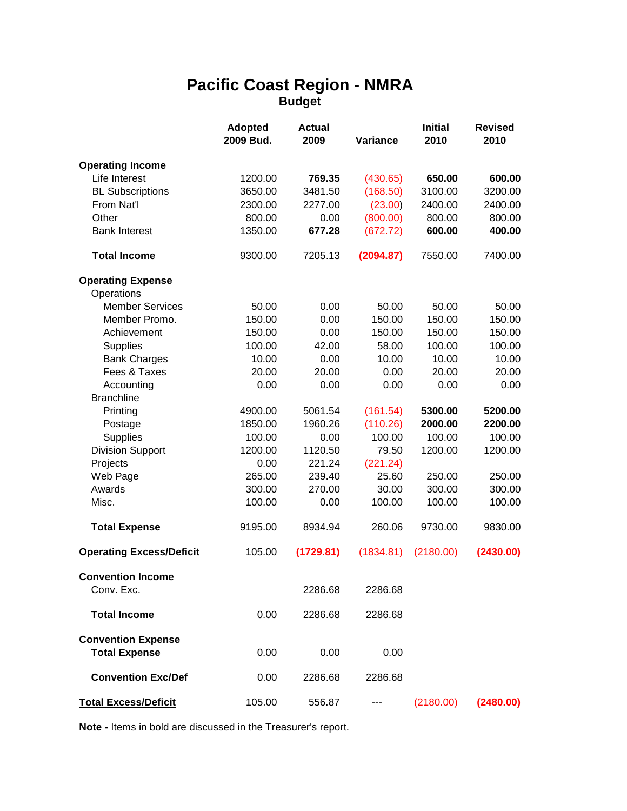# **Pacific Coast Region - NMRA Budget**

|                                                   | <b>Adopted</b><br>2009 Bud. | <b>Actual</b><br>2009 | Variance  | <b>Initial</b><br>2010 | <b>Revised</b><br>2010 |
|---------------------------------------------------|-----------------------------|-----------------------|-----------|------------------------|------------------------|
| <b>Operating Income</b>                           |                             |                       |           |                        |                        |
| Life Interest                                     | 1200.00                     | 769.35                | (430.65)  | 650.00                 | 600.00                 |
| <b>BL Subscriptions</b>                           | 3650.00                     | 3481.50               | (168.50)  | 3100.00                | 3200.00                |
| From Nat'l                                        | 2300.00                     | 2277.00               | (23.00)   | 2400.00                | 2400.00                |
| Other                                             | 800.00                      | 0.00                  | (800.00)  | 800.00                 | 800.00                 |
| <b>Bank Interest</b>                              | 1350.00                     | 677.28                | (672.72)  | 600.00                 | 400.00                 |
| <b>Total Income</b>                               | 9300.00                     | 7205.13               | (2094.87) | 7550.00                | 7400.00                |
| <b>Operating Expense</b>                          |                             |                       |           |                        |                        |
| Operations                                        |                             |                       |           |                        |                        |
| <b>Member Services</b>                            | 50.00                       | 0.00                  | 50.00     | 50.00                  | 50.00                  |
| Member Promo.                                     | 150.00                      | 0.00                  | 150.00    | 150.00                 | 150.00                 |
| Achievement                                       | 150.00                      | 0.00                  | 150.00    | 150.00                 | 150.00                 |
| <b>Supplies</b>                                   | 100.00                      | 42.00                 | 58.00     | 100.00                 | 100.00                 |
| <b>Bank Charges</b>                               | 10.00                       | 0.00                  | 10.00     | 10.00                  | 10.00                  |
| Fees & Taxes                                      | 20.00                       | 20.00                 | 0.00      | 20.00                  | 20.00                  |
| Accounting                                        | 0.00                        | 0.00                  | 0.00      | 0.00                   | 0.00                   |
| <b>Branchline</b>                                 |                             |                       |           |                        |                        |
| Printing                                          | 4900.00                     | 5061.54               | (161.54)  | 5300.00                | 5200.00                |
| Postage                                           | 1850.00                     | 1960.26               | (110.26)  | 2000.00                | 2200.00                |
| <b>Supplies</b>                                   | 100.00                      | 0.00                  | 100.00    | 100.00                 | 100.00                 |
| <b>Division Support</b>                           | 1200.00                     | 1120.50               | 79.50     | 1200.00                | 1200.00                |
| Projects                                          | 0.00                        | 221.24                | (221.24)  |                        |                        |
| Web Page                                          | 265.00                      | 239.40                | 25.60     | 250.00                 | 250.00                 |
| Awards                                            | 300.00                      | 270.00                | 30.00     | 300.00                 | 300.00                 |
| Misc.                                             | 100.00                      | 0.00                  | 100.00    | 100.00                 | 100.00                 |
| <b>Total Expense</b>                              | 9195.00                     | 8934.94               | 260.06    | 9730.00                | 9830.00                |
| <b>Operating Excess/Deficit</b>                   | 105.00                      | (1729.81)             | (1834.81) | (2180.00)              | (2430.00)              |
| <b>Convention Income</b>                          |                             |                       |           |                        |                        |
| Conv. Exc.                                        |                             | 2286.68               | 2286.68   |                        |                        |
| <b>Total Income</b>                               | 0.00                        | 2286.68               | 2286.68   |                        |                        |
| <b>Convention Expense</b><br><b>Total Expense</b> | 0.00                        | 0.00                  | 0.00      |                        |                        |
| <b>Convention Exc/Def</b>                         | 0.00                        | 2286.68               | 2286.68   |                        |                        |
| <b>Total Excess/Deficit</b>                       | 105.00                      | 556.87                |           | (2180.00)              | (2480.00)              |

**Note -** Items in bold are discussed in the Treasurer's report.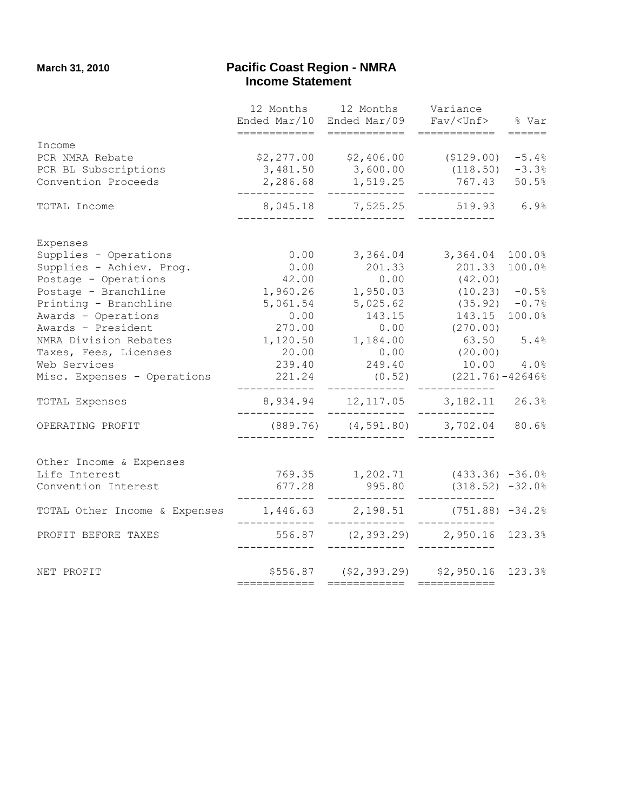#### **March 31, 2010 Pacific Coast Region - NMRA Example 21 Apr 22 Income Statement**

|                                                                 |               | 12 Months 12 Months Variance<br>Ended Mar/10 Ended Mar/09 Fav/ <unf></unf>             |                        | % Var     |
|-----------------------------------------------------------------|---------------|----------------------------------------------------------------------------------------|------------------------|-----------|
|                                                                 | ============  | ============                                                                           | ============           | $=$ ===== |
| Income                                                          |               |                                                                                        |                        |           |
| PCR NMRA Rebate                                                 |               | $$2,277.00$ $$2,406.00$ $$129.00$ $$-5.4%$                                             |                        |           |
| PCR BL Subscriptions                                            |               | 3,481.50 3,600.00                                                                      | $(118.50)$ $-3.3%$     |           |
| Convention Proceeds                                             | ____________  | 2,286.68 1,519.25<br>_____________                                                     | 767.43 50.5%           |           |
| TOTAL Income                                                    |               | 8,045.18 7,525.25 519.93 6.9%                                                          | --------               |           |
| Expenses                                                        |               |                                                                                        |                        |           |
| Supplies - Operations                                           |               | $0.00$ $3,364.04$ $3,364.04$                                                           |                        | 100.0%    |
| Supplies - Achiev. Prog.                                        |               | $0.00$ 201.33                                                                          | 201.33                 | 100.0%    |
| Postage - Operations                                            | 42.00         | 0.00                                                                                   | (42.00)                |           |
| Postage - Branchline                                            | 1,960.26      | 0.00<br>1,950.03<br>5,025.62<br>143.15                                                 | $(10.23) -0.5%$        |           |
| Printing - Branchline                                           | 5,061.54      |                                                                                        | $(35.92)$ -0.7%        |           |
| Awards - Operations                                             | 0.00          | 143.15                                                                                 | 143.15 100.0%          |           |
| Awards - President                                              | 270.00        |                                                                                        | $0.00$ (270.00)        |           |
| NMRA Division Rebates                                           |               | 1,120.50 1,184.00 63.50 5.4%                                                           |                        |           |
| Taxes, Fees, Licenses                                           |               |                                                                                        |                        |           |
| Web Services                                                    |               | 239.40 249.40 10.00 4.0%                                                               |                        |           |
| Misc. Expenses - Operations                                     | ___________   | $221.24$ (0.52) $(221.76) - 42646\%$<br>____________                                   | -------------          |           |
| TOTAL Expenses                                                  | ------------- | 8,934.94 12,117.05 3,182.11 26.3%<br>_____________                                     | ------------           |           |
| OPERATING PROFIT                                                | $\frac{1}{2}$ | $(889.76)$ $(4,591.80)$ $3,702.04$ $80.6%$<br>.______      _____________        _____. |                        |           |
| Other Income & Expenses                                         |               |                                                                                        |                        |           |
| Life Interest                                                   |               | $769.35$ 1,202.71 (433.36) -36.0%                                                      |                        |           |
| Convention Interest                                             | 677.28        |                                                                                        | 995.80 (318.52) -32.0% |           |
|                                                                 | _____________ | _____________                                                                          | _________              |           |
| TOTAL Other Income & Expenses 1,446.63 2,198.51 (751.88) -34.2% | ------------- | _____________                                                                          | _________              |           |
| PROFIT BEFORE TAXES                                             |               | 556.87 (2,393.29) 2,950.16 123.3%                                                      |                        |           |
| NET PROFIT                                                      |               | $$5556.87$ (\$2,393.29) \$2,950.16 123.3%                                              |                        |           |
|                                                                 |               |                                                                                        |                        |           |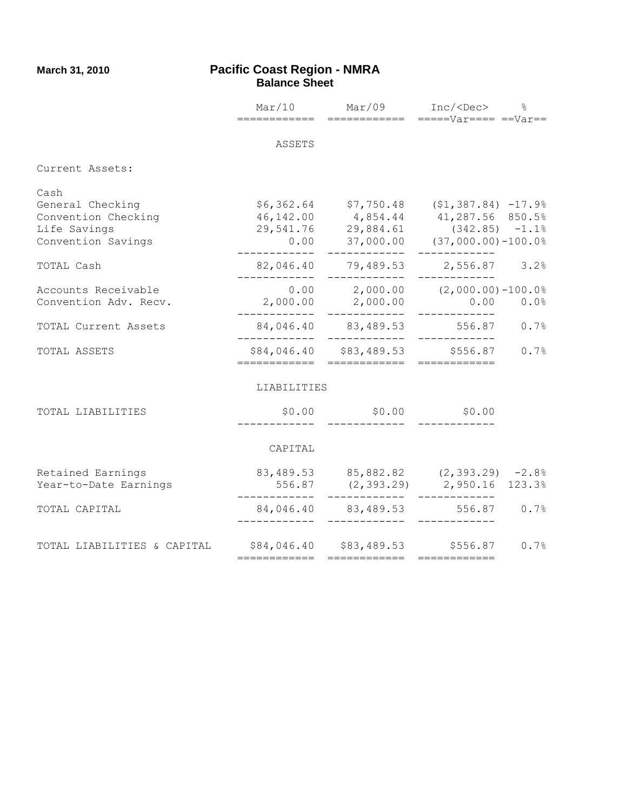#### **March 31, 2010 Pacific Coast Region - NMRA Balance Sheet**

|                                                                                       |              | $Mar/10$ $Mar/09$                                | $Inc/ < Dec$ %                                                                                                                                                   |
|---------------------------------------------------------------------------------------|--------------|--------------------------------------------------|------------------------------------------------------------------------------------------------------------------------------------------------------------------|
|                                                                                       |              |                                                  |                                                                                                                                                                  |
|                                                                                       | ASSETS       |                                                  |                                                                                                                                                                  |
| Current Assets:                                                                       |              |                                                  |                                                                                                                                                                  |
| Cash<br>General Checking<br>Convention Checking<br>Life Savings<br>Convention Savings |              |                                                  | $$6,362.64$ $$7,750.48$ $$1,387.84$ $$-17.9\%$<br>46,142.00 4,854.44 41,287.56 850.5%<br>29,541.76 29,884.61 (342.85) -1.1%<br>0.00 37,000.00 (37,000.00)-100.0% |
| TOTAL Cash                                                                            |              | ____________                                     | ____________<br>82,046.40 79,489.53 2,556.87 3.2%                                                                                                                |
| Accounts Receivable<br>Convention Adv. Recv.                                          | ---------    | ____________<br>$2,000.00$ $2,000.00$            | $0.00$ 2,000.00 $(2,000.00)$ -100.0%<br>$0.00 0.0\%$                                                                                                             |
| TOTAL Current Assets                                                                  | ____________ | ------------<br>84,046.40 83,489.53 556.87       | ------------<br>0.7%<br>-------------                                                                                                                            |
| TOTAL ASSETS                                                                          | ============ | \$84,046.40 \$83,489.53 \$556.87<br>============ | 0.7%<br>============                                                                                                                                             |
|                                                                                       | LIABILITIES  |                                                  |                                                                                                                                                                  |
| TOTAL LIABILITIES                                                                     |              | $$0.00$ $$0.00$ $$0.00$                          |                                                                                                                                                                  |
|                                                                                       | CAPITAL      |                                                  |                                                                                                                                                                  |
| Retained Earnings<br>Year-to-Date Earnings                                            | -----------  |                                                  | 83,489.53 85,882.82 (2,393.29) -2.8%<br>556.87 (2,393.29) 2,950.16 123.3%                                                                                        |
| TOTAL CAPITAL                                                                         |              | ------------                                     | 84,046.40 83,489.53 556.87 0.7%                                                                                                                                  |
| TOTAL LIABILITIES & CAPITAL                                                           | ============ | ============                                     | $$84,046.40$ $$83,489.53$ $$556.87$ 0.7%<br>============                                                                                                         |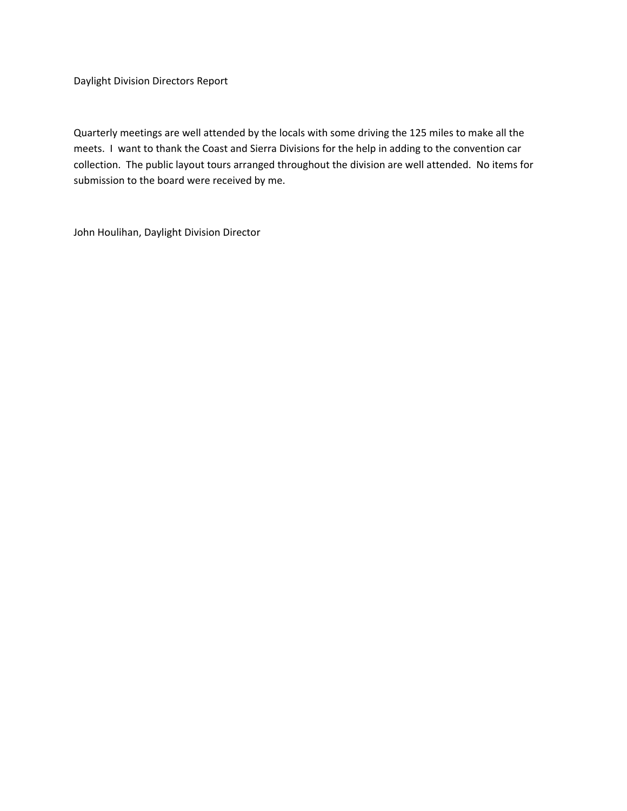Daylight Division Directors Report

Quarterly meetings are well attended by the locals with some driving the 125 miles to make all the meets. I want to thank the Coast and Sierra Divisions for the help in adding to the convention car collection. The public layout tours arranged throughout the division are well attended. No items for submission to the board were received by me.

John Houlihan, Daylight Division Director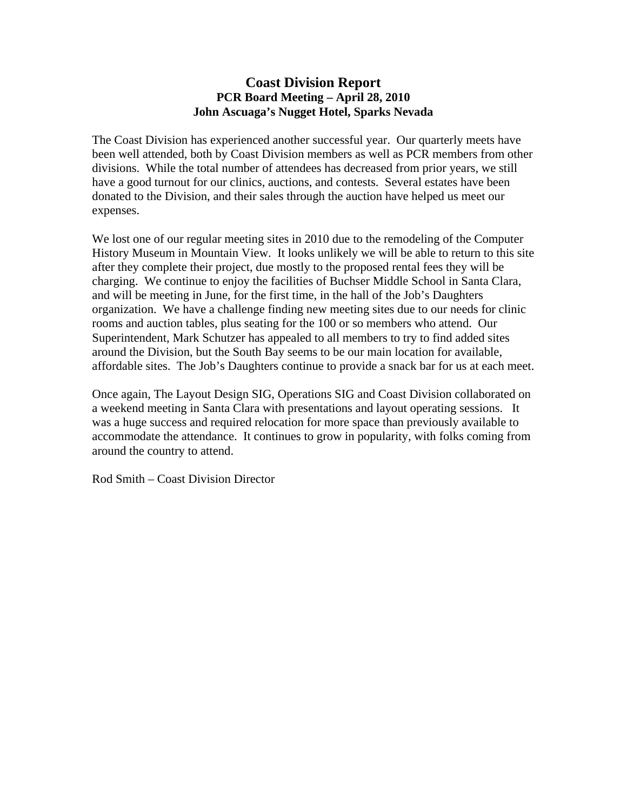#### **Coast Division Report PCR Board Meeting – April 28, 2010 John Ascuaga's Nugget Hotel, Sparks Nevada**

The Coast Division has experienced another successful year. Our quarterly meets have been well attended, both by Coast Division members as well as PCR members from other divisions. While the total number of attendees has decreased from prior years, we still have a good turnout for our clinics, auctions, and contests. Several estates have been donated to the Division, and their sales through the auction have helped us meet our expenses.

We lost one of our regular meeting sites in 2010 due to the remodeling of the Computer History Museum in Mountain View. It looks unlikely we will be able to return to this site after they complete their project, due mostly to the proposed rental fees they will be charging. We continue to enjoy the facilities of Buchser Middle School in Santa Clara, and will be meeting in June, for the first time, in the hall of the Job's Daughters organization. We have a challenge finding new meeting sites due to our needs for clinic rooms and auction tables, plus seating for the 100 or so members who attend. Our Superintendent, Mark Schutzer has appealed to all members to try to find added sites around the Division, but the South Bay seems to be our main location for available, affordable sites. The Job's Daughters continue to provide a snack bar for us at each meet.

Once again, The Layout Design SIG, Operations SIG and Coast Division collaborated on a weekend meeting in Santa Clara with presentations and layout operating sessions. It was a huge success and required relocation for more space than previously available to accommodate the attendance. It continues to grow in popularity, with folks coming from around the country to attend.

Rod Smith – Coast Division Director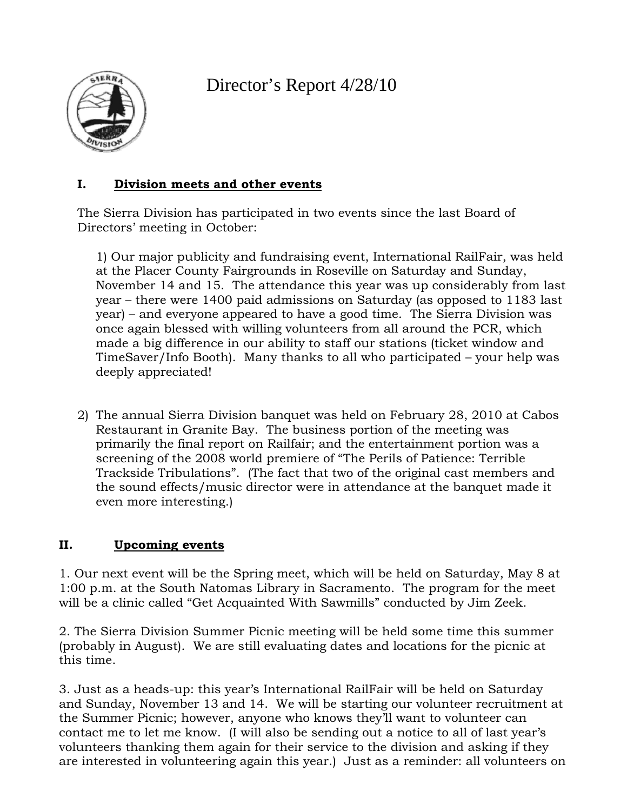Director's Report 4/28/10



## **I. Division meets and other events**

The Sierra Division has participated in two events since the last Board of Directors' meeting in October:

1) Our major publicity and fundraising event, International RailFair, was held at the Placer County Fairgrounds in Roseville on Saturday and Sunday, November 14 and 15. The attendance this year was up considerably from last year – there were 1400 paid admissions on Saturday (as opposed to 1183 last year) – and everyone appeared to have a good time. The Sierra Division was once again blessed with willing volunteers from all around the PCR, which made a big difference in our ability to staff our stations (ticket window and TimeSaver/Info Booth). Many thanks to all who participated – your help was deeply appreciated!

2) The annual Sierra Division banquet was held on February 28, 2010 at Cabos Restaurant in Granite Bay. The business portion of the meeting was primarily the final report on Railfair; and the entertainment portion was a screening of the 2008 world premiere of "The Perils of Patience: Terrible Trackside Tribulations". (The fact that two of the original cast members and the sound effects/music director were in attendance at the banquet made it even more interesting.)

# **II. Upcoming events**

1. Our next event will be the Spring meet, which will be held on Saturday, May 8 at 1:00 p.m. at the South Natomas Library in Sacramento. The program for the meet will be a clinic called "Get Acquainted With Sawmills" conducted by Jim Zeek.

2. The Sierra Division Summer Picnic meeting will be held some time this summer (probably in August). We are still evaluating dates and locations for the picnic at this time.

3. Just as a heads-up: this year's International RailFair will be held on Saturday and Sunday, November 13 and 14. We will be starting our volunteer recruitment at the Summer Picnic; however, anyone who knows they'll want to volunteer can contact me to let me know. (I will also be sending out a notice to all of last year's volunteers thanking them again for their service to the division and asking if they are interested in volunteering again this year.) Just as a reminder: all volunteers on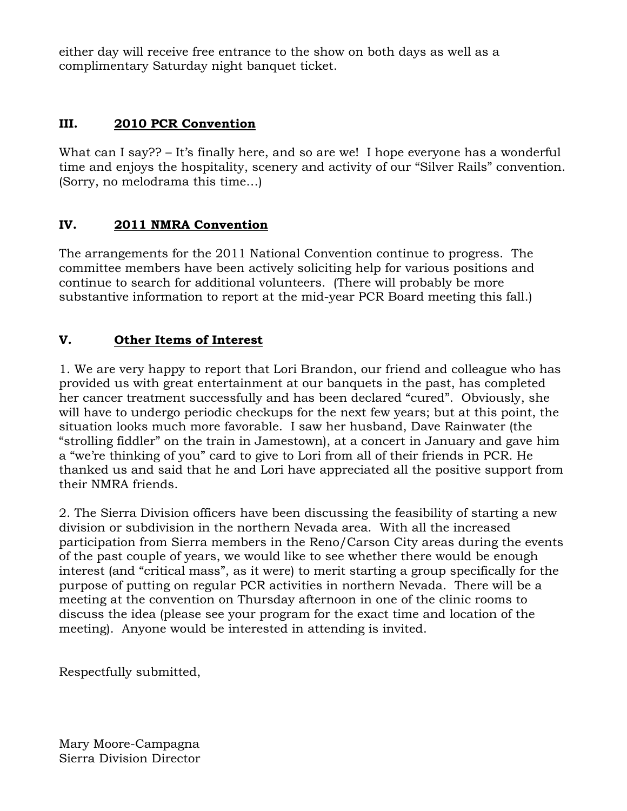either day will receive free entrance to the show on both days as well as a complimentary Saturday night banquet ticket.

# **III. 2010 PCR Convention**

What can I say?? – It's finally here, and so are we! I hope everyone has a wonderful time and enjoys the hospitality, scenery and activity of our "Silver Rails" convention. (Sorry, no melodrama this time…)

# **IV. 2011 NMRA Convention**

The arrangements for the 2011 National Convention continue to progress. The committee members have been actively soliciting help for various positions and continue to search for additional volunteers. (There will probably be more substantive information to report at the mid-year PCR Board meeting this fall.)

## **V. Other Items of Interest**

1. We are very happy to report that Lori Brandon, our friend and colleague who has provided us with great entertainment at our banquets in the past, has completed her cancer treatment successfully and has been declared "cured". Obviously, she will have to undergo periodic checkups for the next few years; but at this point, the situation looks much more favorable. I saw her husband, Dave Rainwater (the "strolling fiddler" on the train in Jamestown), at a concert in January and gave him a "we're thinking of you" card to give to Lori from all of their friends in PCR. He thanked us and said that he and Lori have appreciated all the positive support from their NMRA friends.

2. The Sierra Division officers have been discussing the feasibility of starting a new division or subdivision in the northern Nevada area. With all the increased participation from Sierra members in the Reno/Carson City areas during the events of the past couple of years, we would like to see whether there would be enough interest (and "critical mass", as it were) to merit starting a group specifically for the purpose of putting on regular PCR activities in northern Nevada. There will be a meeting at the convention on Thursday afternoon in one of the clinic rooms to discuss the idea (please see your program for the exact time and location of the meeting). Anyone would be interested in attending is invited.

Respectfully submitted,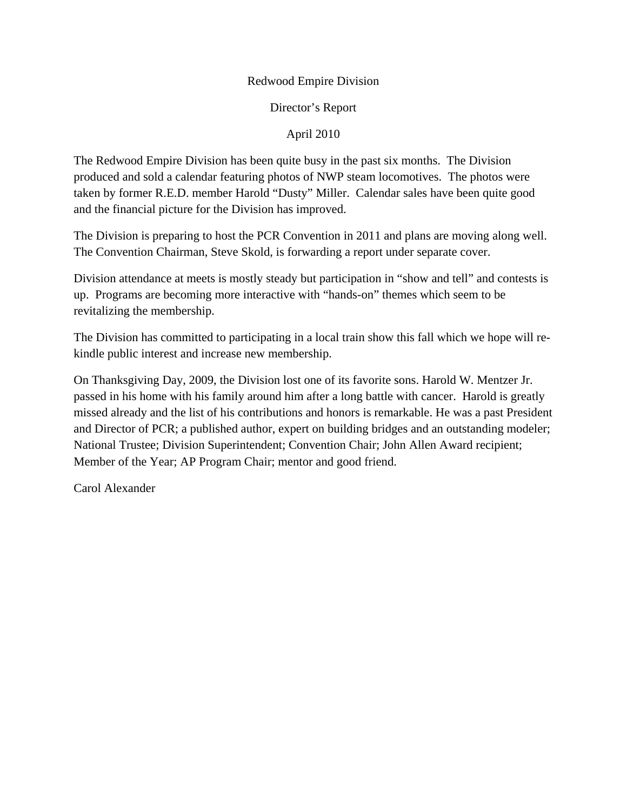#### Redwood Empire Division

#### Director's Report

#### April 2010

The Redwood Empire Division has been quite busy in the past six months. The Division produced and sold a calendar featuring photos of NWP steam locomotives. The photos were taken by former R.E.D. member Harold "Dusty" Miller. Calendar sales have been quite good and the financial picture for the Division has improved.

The Division is preparing to host the PCR Convention in 2011 and plans are moving along well. The Convention Chairman, Steve Skold, is forwarding a report under separate cover.

Division attendance at meets is mostly steady but participation in "show and tell" and contests is up. Programs are becoming more interactive with "hands-on" themes which seem to be revitalizing the membership.

The Division has committed to participating in a local train show this fall which we hope will rekindle public interest and increase new membership.

On Thanksgiving Day, 2009, the Division lost one of its favorite sons. Harold W. Mentzer Jr. passed in his home with his family around him after a long battle with cancer. Harold is greatly missed already and the list of his contributions and honors is remarkable. He was a past President and Director of PCR; a published author, expert on building bridges and an outstanding modeler; National Trustee; Division Superintendent; Convention Chair; John Allen Award recipient; Member of the Year; AP Program Chair; mentor and good friend.

Carol Alexander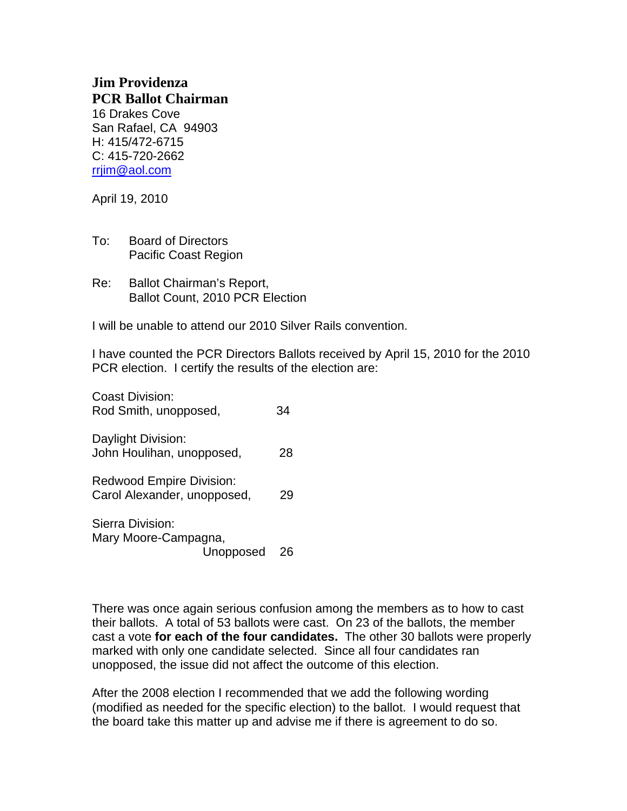# **Jim Providenza PCR Ballot Chairman**

16 Drakes Cove San Rafael, CA 94903 H: 415/472-6715 C: 415-720-2662 rrjim@aol.com

April 19, 2010

- To: Board of Directors Pacific Coast Region
- Re: Ballot Chairman's Report, Ballot Count, 2010 PCR Election

I will be unable to attend our 2010 Silver Rails convention.

I have counted the PCR Directors Ballots received by April 15, 2010 for the 2010 PCR election. I certify the results of the election are:

Coast Division: Rod Smith, unopposed, 34 Daylight Division: John Houlihan, unopposed, 28 Redwood Empire Division: Carol Alexander, unopposed, 29 Sierra Division: Mary Moore-Campagna,

Unopposed 26

There was once again serious confusion among the members as to how to cast their ballots. A total of 53 ballots were cast. On 23 of the ballots, the member cast a vote **for each of the four candidates.** The other 30 ballots were properly marked with only one candidate selected. Since all four candidates ran unopposed, the issue did not affect the outcome of this election.

After the 2008 election I recommended that we add the following wording (modified as needed for the specific election) to the ballot. I would request that the board take this matter up and advise me if there is agreement to do so.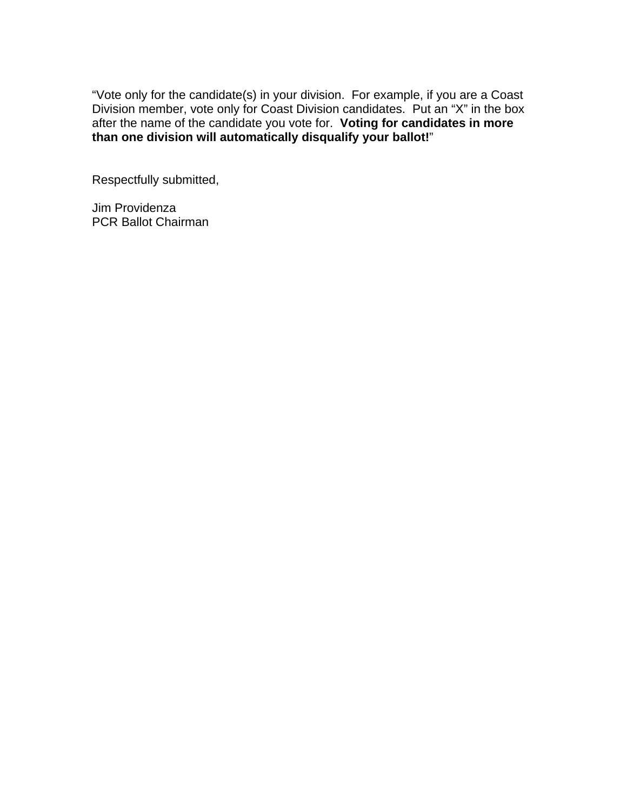"Vote only for the candidate(s) in your division. For example, if you are a Coast Division member, vote only for Coast Division candidates. Put an "X" in the box after the name of the candidate you vote for. **Voting for candidates in more than one division will automatically disqualify your ballot!**"

Respectfully submitted,

Jim Providenza PCR Ballot Chairman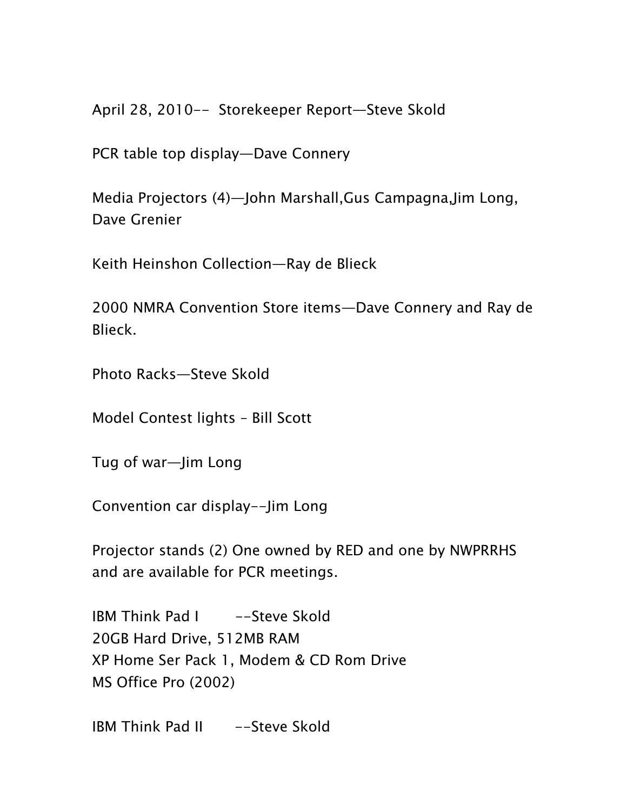April 28, 2010-- Storekeeper Report—Steve Skold

PCR table top display—Dave Connery

Media Projectors (4)—John Marshall,Gus Campagna,Jim Long, Dave Grenier

Keith Heinshon Collection—Ray de Blieck

2000 NMRA Convention Store items—Dave Connery and Ray de Blieck.

Photo Racks—Steve Skold

Model Contest lights – Bill Scott

Tug of war—Jim Long

Convention car display--Jim Long

Projector stands (2) One owned by RED and one by NWPRRHS and are available for PCR meetings.

IBM Think Pad I -Steve Skold 20GB Hard Drive, 512MB RAM XP Home Ser Pack 1, Modem & CD Rom Drive MS Office Pro (2002)

IBM Think Pad II --Steve Skold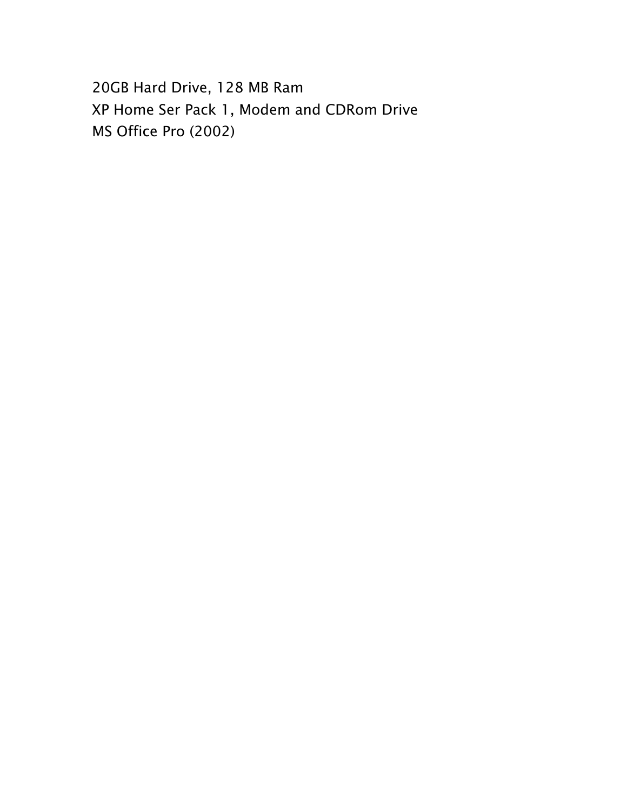20GB Hard Drive, 128 MB Ram XP Home Ser Pack 1, Modem and CDRom Drive MS Office Pro (2002)